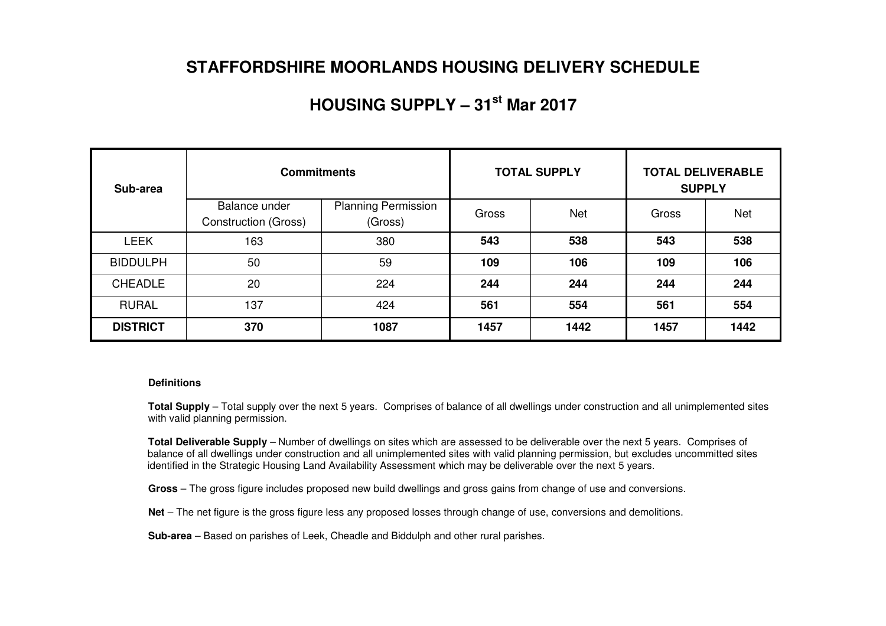## **STAFFORDSHIRE MOORLANDS HOUSING DELIVERY SCHEDULE**

## **HOUSING SUPPLY – 31st Mar 2017**

| Sub-area        | <b>Commitments</b>                           |                                       |       | <b>TOTAL SUPPLY</b> | <b>TOTAL DELIVERABLE</b><br><b>SUPPLY</b> |            |  |
|-----------------|----------------------------------------------|---------------------------------------|-------|---------------------|-------------------------------------------|------------|--|
|                 | Balance under<br><b>Construction (Gross)</b> | <b>Planning Permission</b><br>(Gross) | Gross | <b>Net</b>          | Gross                                     | <b>Net</b> |  |
| <b>LEEK</b>     | 163                                          | 380                                   | 543   | 538                 | 543                                       | 538        |  |
| <b>BIDDULPH</b> | 50                                           | 59                                    | 109   | 106                 | 109                                       | 106        |  |
| <b>CHEADLE</b>  | 20                                           | 224                                   | 244   | 244                 | 244                                       | 244        |  |
| <b>RURAL</b>    | 137                                          | 424                                   | 561   | 554                 | 561                                       | 554        |  |
| <b>DISTRICT</b> | 370                                          | 1087                                  | 1457  | 1442                | 1457                                      | 1442       |  |

#### **Definitions**

**Total Supply** – Total supply over the next 5 years. Comprises of balance of all dwellings under construction and all unimplemented sites with valid planning permission.

**Total Deliverable Supply** – Number of dwellings on sites which are assessed to be deliverable over the next 5 years. Comprises of balance of all dwellings under construction and all unimplemented sites with valid planning permission, but excludes uncommitted sites identified in the Strategic Housing Land Availability Assessment which may be deliverable over the next 5 years.

**Gross** – The gross figure includes proposed new build dwellings and gross gains from change of use and conversions.

**Net** – The net figure is the gross figure less any proposed losses through change of use, conversions and demolitions.

**Sub-area** – Based on parishes of Leek, Cheadle and Biddulph and other rural parishes.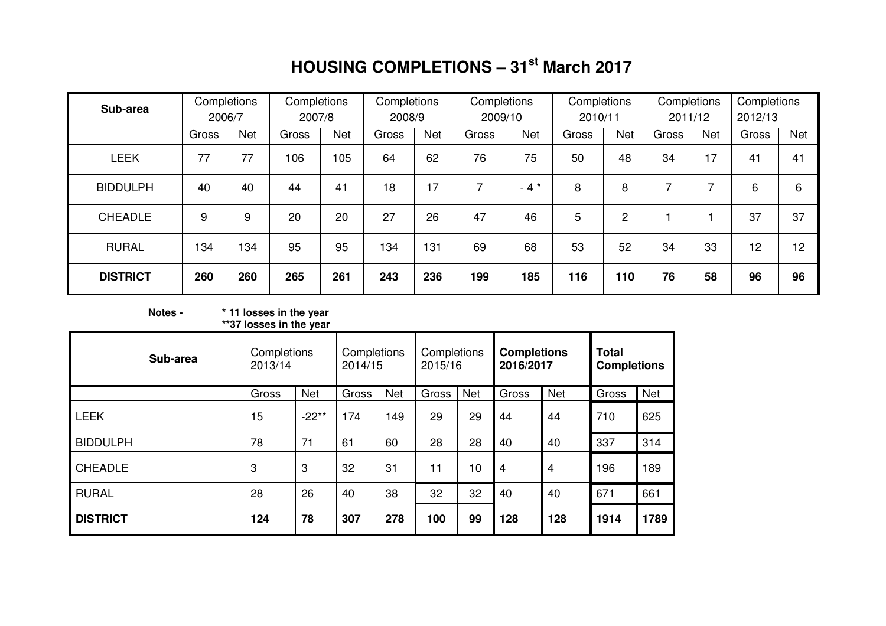# **HOUSING COMPLETIONS – 31st March 2017**

| Sub-area        |       | Completions<br>2006/7 | Completions<br>2007/8 |            | Completions<br>2008/9 |            | Completions<br>2009/10 |        | Completions<br>2010/11 |                | Completions | Completions<br>2012/13<br>2011/12 |       |            |
|-----------------|-------|-----------------------|-----------------------|------------|-----------------------|------------|------------------------|--------|------------------------|----------------|-------------|-----------------------------------|-------|------------|
|                 | Gross | Net                   | Gross                 | <b>Net</b> | Gross                 | <b>Net</b> | Gross                  | Net    | Gross                  | Net            | Gross       | <b>Net</b>                        | Gross | <b>Net</b> |
| <b>LEEK</b>     | 77    | 77                    | 106                   | 105        | 64                    | 62         | 76                     | 75     | 50                     | 48             | 34          | 17                                | 41    | 41         |
| <b>BIDDULPH</b> | 40    | 40                    | 44                    | 41         | 18                    | 17         | 7                      | $-4$ * | 8                      | 8              |             | ⇁                                 | 6     | 6          |
| <b>CHEADLE</b>  | 9     | 9                     | 20                    | 20         | 27                    | 26         | 47                     | 46     | 5                      | $\overline{2}$ |             |                                   | 37    | 37         |
| <b>RURAL</b>    | 134   | 134                   | 95                    | 95         | 134                   | 131        | 69                     | 68     | 53                     | 52             | 34          | 33                                | 12    | 12         |
| <b>DISTRICT</b> | 260   | 260                   | 265                   | 261        | 243                   | 236        | 199                    | 185    | 116                    | 110            | 76          | 58                                | 96    | 96         |

## **Notes - \* 11 losses in the year \*\*37 losses in the year**

| Sub-area        | Completions<br>2013/14 |            | Completions<br>2014/15 |            | Completions<br>2015/16 |            | <b>Completions</b><br>2016/2017 |            | <b>Total</b><br><b>Completions</b> |            |
|-----------------|------------------------|------------|------------------------|------------|------------------------|------------|---------------------------------|------------|------------------------------------|------------|
|                 | Gross                  | <b>Net</b> | Gross                  | <b>Net</b> | Gross                  | <b>Net</b> | Gross                           | <b>Net</b> | Gross                              | <b>Net</b> |
| <b>LEEK</b>     | 15                     | $-22**$    | 174                    | 149        | 29                     | 29         | 44                              | 44         | 710                                | 625        |
| <b>BIDDULPH</b> | 78                     | 71         | 61                     | 60         | 28                     | 28         | 40                              | 40         | 337                                | 314        |
| <b>CHEADLE</b>  | 3                      | 3          | 32                     | 31         | 11                     | 10         | $\overline{4}$                  | 4          | 196                                | 189        |
| <b>RURAL</b>    | 28                     | 26         | 40                     | 38         | 32                     | 32         | 40                              | 40         | 671                                | 661        |
| <b>DISTRICT</b> | 124                    | 78         | 307                    | 278        | 100                    | 99         | 128                             | 128        | 1914                               | 1789       |